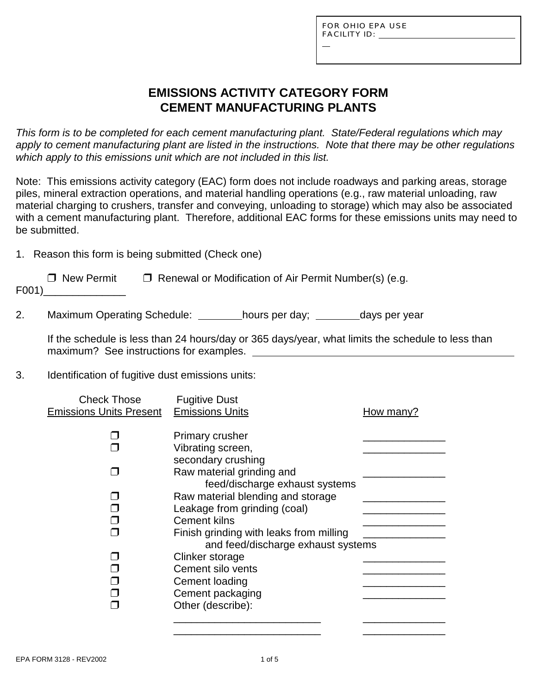L

## **EMISSIONS ACTIVITY CATEGORY FORM CEMENT MANUFACTURING PLANTS**

*This form is to be completed for each cement manufacturing plant. State/Federal regulations which may apply to cement manufacturing plant are listed in the instructions. Note that there may be other regulations which apply to this emissions unit which are not included in this list.*

Note: This emissions activity category (EAC) form does not include roadways and parking areas, storage piles, mineral extraction operations, and material handling operations (e.g., raw material unloading, raw material charging to crushers, transfer and conveying, unloading to storage) which may also be associated with a cement manufacturing plant. Therefore, additional EAC forms for these emissions units may need to be submitted.

1. Reason this form is being submitted (Check one)

| □ New Permit | $\Box$ Renewal or Modification of Air Permit Number(s) (e.g. |
|--------------|--------------------------------------------------------------|
| F001)        |                                                              |

2. Maximum Operating Schedule: \_\_\_\_\_\_\_hours per day; \_\_\_\_\_\_\_days per year

If the schedule is less than 24 hours/day or 365 days/year, what limits the schedule to less than maximum? See instructions for examples.

#### 3. Identification of fugitive dust emissions units:

| <b>Check Those</b>             | <b>Fugitive Dust</b>                    |           |
|--------------------------------|-----------------------------------------|-----------|
| <b>Emissions Units Present</b> | <b>Emissions Units</b>                  | How many? |
|                                |                                         |           |
|                                | Primary crusher                         |           |
|                                | Vibrating screen,                       |           |
|                                | secondary crushing                      |           |
|                                | Raw material grinding and               |           |
|                                | feed/discharge exhaust systems          |           |
|                                | Raw material blending and storage       |           |
|                                | Leakage from grinding (coal)            |           |
|                                | <b>Cement kilns</b>                     |           |
|                                |                                         |           |
|                                | Finish grinding with leaks from milling |           |
|                                | and feed/discharge exhaust systems      |           |
|                                | Clinker storage                         |           |
|                                | Cement silo vents                       |           |
|                                | Cement loading                          |           |
|                                | Cement packaging                        |           |
|                                | Other (describe):                       |           |
|                                |                                         |           |
|                                |                                         |           |

\_\_\_\_\_\_\_\_\_\_\_\_\_\_\_\_\_\_\_\_\_\_\_\_\_ \_\_\_\_\_\_\_\_\_\_\_\_\_\_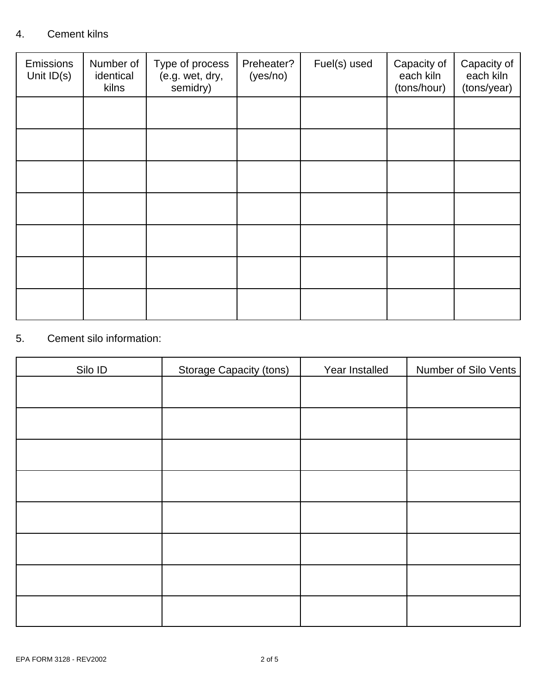### 4. Cement kilns

| <b>Emissions</b><br>Unit $ID(s)$ | Number of<br>identical<br>kilns | Type of process<br>(e.g. wet, dry,<br>semidry) | Preheater?<br>(yes/no) | Fuel(s) used | Capacity of<br>each kiln<br>(tons/hour) | Capacity of<br>each kiln<br>(tons/year) |
|----------------------------------|---------------------------------|------------------------------------------------|------------------------|--------------|-----------------------------------------|-----------------------------------------|
|                                  |                                 |                                                |                        |              |                                         |                                         |
|                                  |                                 |                                                |                        |              |                                         |                                         |
|                                  |                                 |                                                |                        |              |                                         |                                         |
|                                  |                                 |                                                |                        |              |                                         |                                         |
|                                  |                                 |                                                |                        |              |                                         |                                         |
|                                  |                                 |                                                |                        |              |                                         |                                         |
|                                  |                                 |                                                |                        |              |                                         |                                         |

### 5. Cement silo information:

| Silo ID | <b>Storage Capacity (tons)</b> | Year Installed | Number of Silo Vents |
|---------|--------------------------------|----------------|----------------------|
|         |                                |                |                      |
|         |                                |                |                      |
|         |                                |                |                      |
|         |                                |                |                      |
|         |                                |                |                      |
|         |                                |                |                      |
|         |                                |                |                      |
|         |                                |                |                      |
|         |                                |                |                      |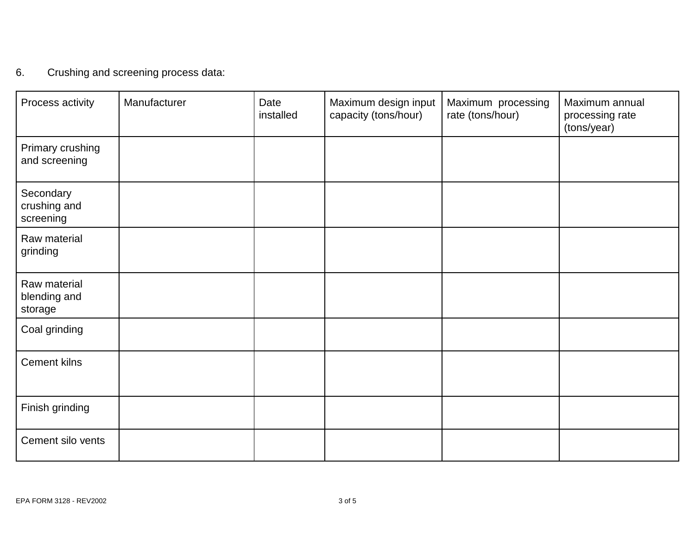# 6. Crushing and screening process data:

| Process activity                        | Manufacturer | Date<br>installed | Maximum design input<br>capacity (tons/hour) | Maximum processing<br>rate (tons/hour) | Maximum annual<br>processing rate<br>(tons/year) |
|-----------------------------------------|--------------|-------------------|----------------------------------------------|----------------------------------------|--------------------------------------------------|
| Primary crushing<br>and screening       |              |                   |                                              |                                        |                                                  |
| Secondary<br>crushing and<br>screening  |              |                   |                                              |                                        |                                                  |
| Raw material<br>grinding                |              |                   |                                              |                                        |                                                  |
| Raw material<br>blending and<br>storage |              |                   |                                              |                                        |                                                  |
| Coal grinding                           |              |                   |                                              |                                        |                                                  |
| <b>Cement kilns</b>                     |              |                   |                                              |                                        |                                                  |
| Finish grinding                         |              |                   |                                              |                                        |                                                  |
| Cement silo vents                       |              |                   |                                              |                                        |                                                  |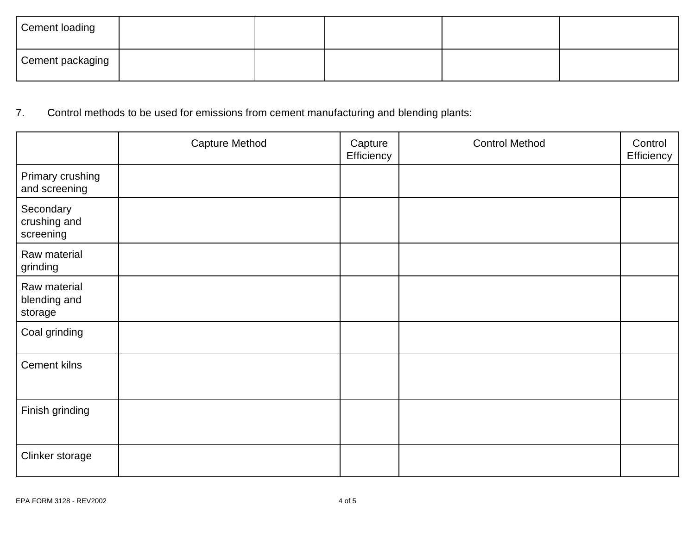| <b>Cement loading</b> |  |  |  |
|-----------------------|--|--|--|
| Cement packaging      |  |  |  |

# 7. Control methods to be used for emissions from cement manufacturing and blending plants:

|                                         | <b>Capture Method</b> | Capture<br>Efficiency | <b>Control Method</b> | Control<br>Efficiency |
|-----------------------------------------|-----------------------|-----------------------|-----------------------|-----------------------|
| Primary crushing<br>and screening       |                       |                       |                       |                       |
| Secondary<br>crushing and<br>screening  |                       |                       |                       |                       |
| Raw material<br>grinding                |                       |                       |                       |                       |
| Raw material<br>blending and<br>storage |                       |                       |                       |                       |
| Coal grinding                           |                       |                       |                       |                       |
| Cement kilns                            |                       |                       |                       |                       |
| Finish grinding                         |                       |                       |                       |                       |
| Clinker storage                         |                       |                       |                       |                       |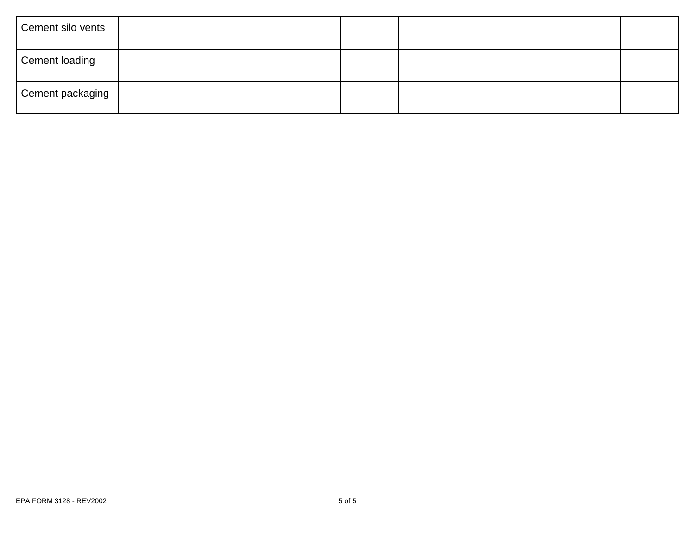| Cement silo vents |  |  |
|-------------------|--|--|
| Cement loading    |  |  |
| Cement packaging  |  |  |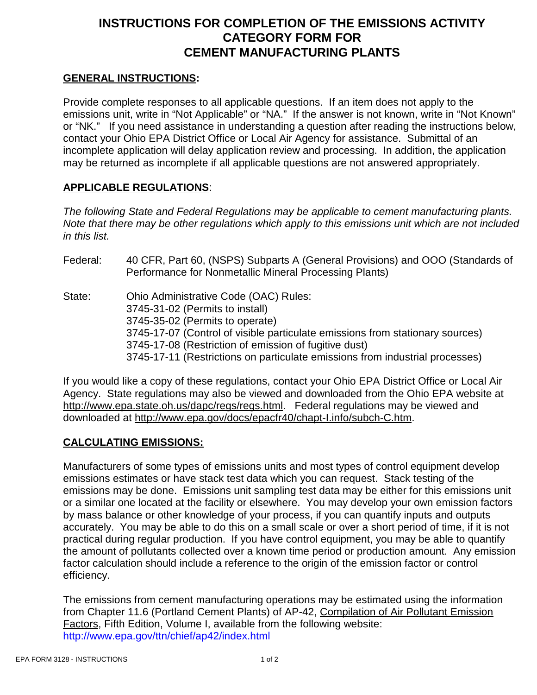### **INSTRUCTIONS FOR COMPLETION OF THE EMISSIONS ACTIVITY CATEGORY FORM FOR CEMENT MANUFACTURING PLANTS**

### **GENERAL INSTRUCTIONS:**

Provide complete responses to all applicable questions. If an item does not apply to the emissions unit, write in "Not Applicable" or "NA." If the answer is not known, write in "Not Known" or "NK." If you need assistance in understanding a question after reading the instructions below, contact your Ohio EPA District Office or Local Air Agency for assistance. Submittal of an incomplete application will delay application review and processing. In addition, the application may be returned as incomplete if all applicable questions are not answered appropriately.

### **APPLICABLE REGULATIONS**:

*The following State and Federal Regulations may be applicable to cement manufacturing plants. Note that there may be other regulations which apply to this emissions unit which are not included in this list.*

Federal: 40 CFR, Part 60, (NSPS) Subparts A (General Provisions) and OOO (Standards of Performance for Nonmetallic Mineral Processing Plants) State: Ohio Administrative Code (OAC) Rules: 3745-31-02 (Permits to install) 3745-35-02 (Permits to operate) 3745-17-07 (Control of visible particulate emissions from stationary sources) 3745-17-08 (Restriction of emission of fugitive dust) 3745-17-11 (Restrictions on particulate emissions from industrial processes)

If you would like a copy of these regulations, contact your Ohio EPA District Office or Local Air Agency. State regulations may also be viewed and downloaded from the Ohio EPA website at http://www.epa.state.oh.us/dapc/regs/regs.html. Federal regulations may be viewed and downloaded at http://www.epa.gov/docs/epacfr40/chapt-I.info/subch-C.htm.

### **CALCULATING EMISSIONS:**

Manufacturers of some types of emissions units and most types of control equipment develop emissions estimates or have stack test data which you can request. Stack testing of the emissions may be done. Emissions unit sampling test data may be either for this emissions unit or a similar one located at the facility or elsewhere. You may develop your own emission factors by mass balance or other knowledge of your process, if you can quantify inputs and outputs accurately. You may be able to do this on a small scale or over a short period of time, if it is not practical during regular production. If you have control equipment, you may be able to quantify the amount of pollutants collected over a known time period or production amount. Any emission factor calculation should include a reference to the origin of the emission factor or control efficiency.

The emissions from cement manufacturing operations may be estimated using the information from Chapter 11.6 (Portland Cement Plants) of AP-42, Compilation of Air Pollutant Emission Factors, Fifth Edition, Volume I, available from the following website: http://www.epa.gov/ttn/chief/ap42/index.html